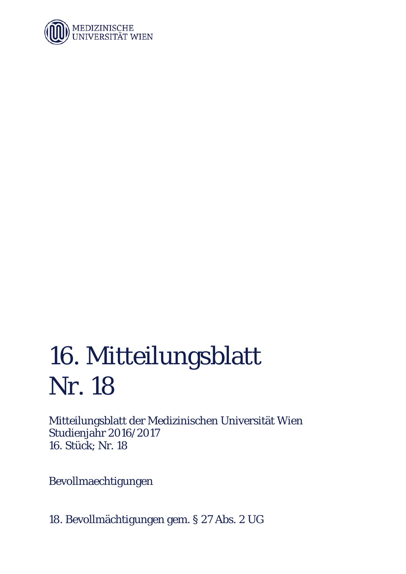

## 16. Mitteilungsblatt Nr. 18

Mitteilungsblatt der Medizinischen Universität Wien Studienjahr 2016/2017 16. Stück; Nr. 18

Bevollmaechtigungen

18. Bevollmächtigungen gem. § 27 Abs. 2 UG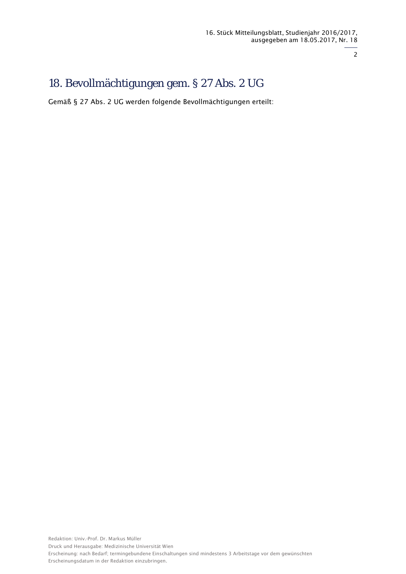2

## 18. Bevollmächtigungen gem. § 27 Abs. 2 UG

Gemäß § 27 Abs. 2 UG werden folgende Bevollmächtigungen erteilt: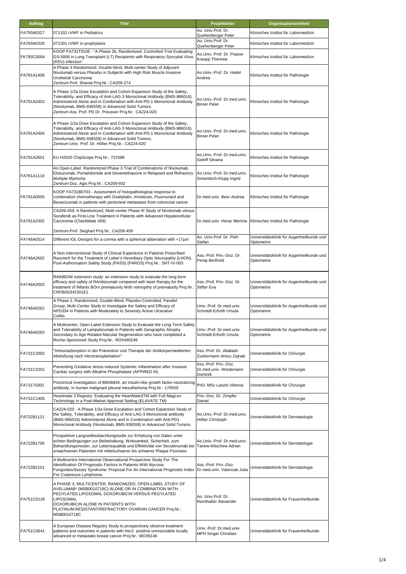| <b>Auftrag</b> | <b>Titel</b>                                                                                                                                                                                                                                                                                                                                   | Projektleiter                                              | Organisationseinheit                                    |
|----------------|------------------------------------------------------------------------------------------------------------------------------------------------------------------------------------------------------------------------------------------------------------------------------------------------------------------------------------------------|------------------------------------------------------------|---------------------------------------------------------|
| FA793A0327     | 071102 rVWF in Pediatrics                                                                                                                                                                                                                                                                                                                      | Ao. Univ.Prof. Dr.<br>Quehenberger Peter                   | Klinisches Institut für Labormedizin                    |
| FA793A0328     | 071301 rVWF in prophylaxis                                                                                                                                                                                                                                                                                                                     | Ao. Univ.Prof. Dr.<br>Quehenberger Peter                   | Klinisches Institut für Labormedizin                    |
| FK793C0004     | KOOP FA731T0105 - "A Phase 2b, Randomized, Controlled Trial Evaluating<br>GS-5806 in Lung Transplant (LT) Recipients with Respiratory Syncytial Virus<br>(RSV) Infection"                                                                                                                                                                      | Ao.Univ.-Prof. Dr. Popow-<br>Kraupp Theresia               | Klinisches Institut für Labormedizin                    |
| FA791A1408     | A Phase 3 Randomized, Double-blind, Multi-center Study of Adjuvant<br>Nivolumab versus Placebo in Subjects with High Risk Muscle Invasive<br>Urothelial Carcinoma<br>Zentrum Prof. Shariat Proj.Nr.: CA209-274                                                                                                                                 | Ao.Univ.-Prof. Dr. Haitel<br>Andrea                        | Klinisches Institut für Pathologie                      |
| FA791A2403     | A Phase 1/2a Dose Escalation and Cohort Expansion Study of the Safety,<br>Tolerability, and Efficacy of Anti-LAG-3 Monoclonal Antibody (BMS-986016)<br>Administered Alone and in Combination with Anti-PD-1 Monoclonal Antibody<br>(Nivolumab, BMS-936558) in Advanced Solid Tumors.<br>Zentrum Ass. Prof. PD Dr. Preusser Proj.Nr.: CA224-020 | Ao.Univ.-Prof. Dr.med.univ.<br><b>Birner Peter</b>         | Klinisches Institut für Pathologie                      |
| FA791A2404     | A Phase 1/2a Dose Escalation and Cohort Expansion Study of the Safety,<br>Tolerability, and Efficacy of Anti-LAG-3 Monoclonal Antibody (BMS-986016)<br>Administered Alone and in Combination with Anti-PD-1 Monoclonal Antibody<br>(Nivolumab, BMS-936558) in Advanced Solid Tumors.<br>Zentrum Univ. Prof. Dr. Höller Proj.Nr.: CA224-020     | Ao.Univ.-Prof. Dr.med.univ.<br><b>Birner Peter</b>         | Klinisches Institut für Pathologie                      |
| FA791A2601     | EU H2020 ChipScope Proj.Nr.: 737089                                                                                                                                                                                                                                                                                                            | Ao.Univ.-Prof. Dr.med.univ.<br>Geleff Silvana              | Klinisches Institut für Pathologie                      |
| FA791A1119     | An Open-Label, Randomized Phase 3 Trial of Combinations of Nivolumab,<br>Elotuzumab, Pomalidomide and Dexamethasone in Relapsed and Refractory<br>Multiple Myeloma<br>Zentrum Doz. Agis Proj.Nr.: CA209-602                                                                                                                                    | Ao.Univ.-Prof. Dr.med.univ.<br>Simonitsch-Klupp Ingrid     | Klinisches Institut für Pathologie                      |
| FK791A0005     | KOOP FA731B0703 - Assessment of histopathological response to<br>combination chemotherapy with Oxaliplatin, Irinotecan, Fluorouracil and<br>Bevacizumab in patients with peritoneal metastasis from colorectal cancer                                                                                                                          | Dr.med.univ. Beer Andrea                                   | Klinisches Institut für Pathologie                      |
| FA791A2302     | CA209-459: A Randomized, Multi-center Phase III Study of Nivolumab versus<br>Sorafenib as First-Line Treatment in Patients with Advanced Hepatocellular<br>Carcinoma (CheckMate 459)                                                                                                                                                           | Dr.med.univ. Herac Merima                                  | Klinisches Institut für Pathologie                      |
| FA746A0314     | Zentrum Prof. Sieghart Proj.Nr.: CA209-459<br>Different IOL-Designs for a cornea with a spherical abberation with +17um                                                                                                                                                                                                                        | Ao. Univ.Prof. Dr. Pieh<br>Stefan                          | Universitätsklinik für Augenheilkunde und<br>Optometrie |
| FA746A2602     | A Non-interventional Study of Clinical Experience in Patients Prescribed<br>Raxone® for the Treatment of Leber's Hereditary Optic Neuropathy (LHON).<br>Post-Authorisation Safety Study (PASS) (PAROS) Proj.Nr.: SNT-IV-003                                                                                                                    | Ass.-Prof. Priv.-Doz. Dr.<br>Pemp Berthold                 | Universitätsklinik für Augenheilkunde und<br>Optometrie |
| FA746A2003     | RAINBOW extension study: an extension study to evaluate the long term<br>efficacy and safety of RAnibizumab compared with laser therapy for the<br>treatment of INfants BOrn prematurely With retinopthy of prematurity Proj.Nr.:<br>CRFB002H2301E1                                                                                            | Ass.-Prof. Priv.-Doz. Dr.<br><b>Stifter Eva</b>            | Universitätsklinik für Augenheilkunde und<br>Optometrie |
| FA746A0262     | A Phase 2, Randomized, Double-Blind, Placebo-Controlled, Parallel<br>Group, Multi-Center Study to Investigate the Safety and Efficacy of<br>APD334 in Patients with Moderately to Severely Active Ulcerative<br>Colitis                                                                                                                        | Univ.-Prof. Dr.med.univ.<br>Schmidt-Erfurth Ursula         | Universitätsklinik für Augenheilkunde und<br>Optometrie |
| FA746A0263     | A Multicenter, Open-Label Extension Study to Evaluate the Long-Term Safety<br>and Tolerability of Lampalizumab in Patients with Geographic Atrophy<br>Secondary to Age-Related Macular Degeneration who have completed a<br>Roche-Sponsored Study Proj.Nr.: RO5490249                                                                          | Univ.-Prof. Dr.med.univ.<br>Schmidt-Erfurth Ursula         | Universitätsklinik für Augenheilkunde und<br>Optometrie |
| FA731C2002     | 'Immunadsorption in der Prävention und Therapie der Antikörpermediierten<br>Abstoßung nach Herztransplantation"                                                                                                                                                                                                                                | Ass.-Prof. Dr. Aliabadi-<br>Zuckermann Arezu Zejnab        | Universitätsklinik für Chirurgie                        |
| FA731C2201     | Preventing Oxidative stress induced Systemic Inflammation after invasive<br>Cardiac surgery with Alkaline Phosphatase (APPIRED III)                                                                                                                                                                                                            | Ass.-Prof. Priv.-Doz.<br>Dr.med.univ. Wiedemann<br>Dominik | Universitätsklinik für Chirurgie                        |
| FA731T0301     | Preclinical investigation of BI836845, an insulin-like growth factor-neutralizing<br>antibody, in human malignant pleural mesothelioma Proj.Nr.: 176559                                                                                                                                                                                        | PhD. MSc Laszlo Viktoria                                   | Universitätsklinik für Chirurgie                        |
| FA731C1405     | Heartmate 3 Registry: Evaluating the HeartMate3TM with Full MagLev<br>Technology in a Post-Market Approval Setting (ELAVATE TM)                                                                                                                                                                                                                | Priv.-Doz. Dr. Zimpfer<br>Daniel                           | Universitätsklinik für Chirurgie                        |
| FA722B1121     | CA224-020 - A Phase 1/2a Dose Escalation and Cohort Expansion Study of<br>the Safety, Tolerability, and Efficacy of Anti-LAG-3 Monoclonal antibody<br>(BMS-986016) Administered Alone and in Combination with Anti-PD1<br>Monoclonal Antibody (Nivolumab, BMS-936558) in Advanced Solid Tumors.                                                | Ao.Univ.-Prof. Dr.med.univ.<br>Höller Christoph            | Universitätsklinik für Dermatologie                     |
| FA722B1706     | Prospektive Langzeitbeobachtungstudie zur Erhebung von Daten unter<br>echten Bedingungen zur Beibehaltung, Wirksamkeit, Sicherheit, zum<br>Behandlungsmuster, zur Lebensqualität und Effektivität von Secukinumab bei<br>erwachsenen Patienten mit mittelschwerer bis schwerer Plaque Psoriasis.                                               | Ao.Univ.-Prof. Dr.med.univ.<br>Tanew-Iliitschew Adrian     | Universitätsklinik für Dermatologie                     |
| FA722B2101     | A Multicentre International Observational Prospective Study For The<br>Identification Of Prognostic Factors In Patients With Mycosis<br>Fungoides/Sezary Syndrome: Proposal For An International Prognostic Index   Dr.med.univ. Valencak Julia<br>For Cutaneous Lymphoma.                                                                     | Ass.-Prof. Priv.-Doz.                                      | Universitätsklinik für Dermatologie                     |
| FA751C0128     | A PHASE 3, MULTICENTER, RANDOMIZED, OPEN-LABEL STUDY OF<br>AVELUMAB* (MSB0010718C) ALONE OR IN COMBINATION WITH<br>PEGYLATED LIPOSOMAL DOXORUBICIN VERSUS PEGYLATED<br>LIPOSOMAL<br>DOXORUBICIN ALONE IN PATIENTS WITH<br>PLATINUM-RESISTANT/REFRACTORY OVARIAN CANCER Proj.Nr.:<br>MSB0010718C                                                | Ao. Univ.Prof. Dr.<br>Reinthaller Alexander                | Universitätsklinik für Frauenheilkunde                  |
| FA751C0641     | A European Disease Registry Study to prospectively observe treatment<br>patterns and outcomes in patients with Her2- positive unresectable locally<br>advanced or metastatic breast cancer Proj.Nr.: MO39146                                                                                                                                   | Univ.-Prof. Dr.med.univ.<br>MPH Singer Christian           | Universitätsklinik für Frauenheilkunde                  |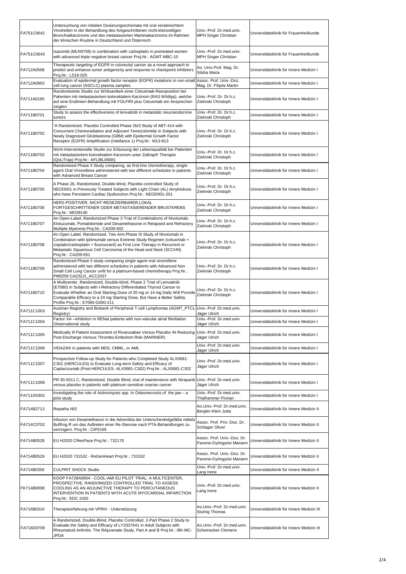| FA751C0642 | Untersuchung von initialen Dosierungsschemata mit oral verabreichtem<br>Vinolrelbin in der Behandlung des fortgeschrittenen nicht-kleinzelligen<br>Bronchialkarzinoms und des metastasierten Mammakarzinoms im Rahmen<br>der klinischen Routine in Deutschland und Österreich                                                               | Univ.-Prof. Dr.med.univ.<br>MPH Singer Christian        | Universitätsklinik für Frauenheilkunde    |
|------------|---------------------------------------------------------------------------------------------------------------------------------------------------------------------------------------------------------------------------------------------------------------------------------------------------------------------------------------------|---------------------------------------------------------|-------------------------------------------|
| FA751C0643 | Ixazomib (MLN9708) in combination with carboplatin in pretreated women<br>with advanced triple negative breast cancer Proj.Nr.: AGMT-MBC-10                                                                                                                                                                                                 | Univ.-Prof. Dr.med.univ.<br>MPH Singer Christian        | Universitätsklinik für Frauenheilkunde    |
| FA712A0508 | Therapeutic targeting of EGFR in colorectal cancer as a novel approach to<br>predict and enhance tumor antigenicity and response to checkpoint inhibitors<br>Proj.Nr.: LS16-025                                                                                                                                                             | Ao. Univ.Prof. Mag. Dr.<br>Sibilia Maria                | Universitätsklinik für Innere Medizin I   |
| FA712A0903 | Evaluation of epidermal growth factor receptor (EGFR) mutations in non-small Assoc. Prof. Univ.-Doz.<br>cell lung cancer (NSCLC) plasma samples                                                                                                                                                                                             | Mag. Dr. Filipits Martin                                | Universitätsklinik für Innere Medizin I   |
| FA711A0165 | Randomisierte Studie zur Wirksamkeit einer Cetuximab-Reexposition bei<br>Patienten mit metastasiertem kolorektalem Karzinom (RAS Wildtyp), welche<br>auf eine Erstlinien-Behandlung mit FOLFIRI plus Cetuximab ein Ansprechen<br>zeigten                                                                                                    | Univ.-Prof. Dr. Dr.h.c.<br>Zielinski Christoph          | Universitätsklinik für Innere Medizin I   |
| FA711B0701 | Study to assess the effectiveness of lenvatinib in metastatic neuroendocrine<br>tumors                                                                                                                                                                                                                                                      | Univ.-Prof. Dr. Dr.h.c.<br>Zielinski Christoph          | Universitätsklinik für Innere Medizin I   |
| FA711B0702 | "A Randomized, Placebo Controlled Phase 2b/3 Study of ABT-414 with<br>Concurrent Chemoradiation and Adjuvant Temozolomide in Subjects with<br>Newly Diagnosed Glioblastoma (GBM) with Epidermal Growth Factor<br>Receptor (EGFR) Amplification (Intellance 1) Proj.Nr.: M13-813                                                             | Univ.-Prof. Dr. Dr.h.c.<br>Zielinski Christoph          | Universitätsklinik für Innere Medizin I   |
| FA711B0703 | Nicht-Interventionelle Studie zur Erfassung der Lebensqualität bei Patienten<br>mit metastasiertem kolorektalem Karzinom unter Zaltrap® Therapie<br>(QoLiTrap) Proj.Nr.: AFLIBL06681                                                                                                                                                        | Univ.-Prof. Dr. Dr.h.c.<br>Zielinski Christoph          | Universitätsklinik für Innere Medizin I   |
| FA711B0704 | Randomised Phase II Study comparing, as first-line chemotherapy, single-<br>agent Oral Vinorelbine administered with two different schedules in patients<br>with Advanced Breast Cancer                                                                                                                                                     | Univ.-Prof. Dr. Dr.h.c.<br>Zielinski Christoph          | Universitätsklinik für Innere Medizin I   |
| FA711B0705 | A Phase 2b, Randomized, Double-blind, Placebo-controlled Study of<br>NEOD001 in Previously Treated Subjects with Light Chain (AL) Amyloidosis<br>who have Persistent Cardiac Dysfunction Proj.Nr.: NEOD001-201                                                                                                                              | Univ.-Prof. Dr. Dr.h.c.<br>Zielinski Christoph          | Universitätsklinik für Innere Medizin I   |
| FA711B0706 | HER2-POSITIVER, NICHT-RESEZIERBARER,LOKAL<br>FORTGESCHRITTENER ODER METASTASIERENDER BRUSTKREBS<br>Proj.Nr.: MO39146                                                                                                                                                                                                                        | Univ.-Prof. Dr. Dr.h.c.<br>Zielinski Christoph          | Universitätsklinik für Innere Medizin I   |
| FA711B0707 | An Open-Label, Randomized Phase 3 Trial of Combinations of Nivolumab,<br>Elotuzumab, Pomalidomide and Dexamethasone in Relapsed and Refractory<br>Multiple Myeloma Proj.Nr.: CA209-602                                                                                                                                                      | Univ.-Prof. Dr. Dr.h.c.<br>Zielinski Christoph          | Universitätsklinik für Innere Medizin I   |
| FA711B0708 | An Open Label, Randomized, Two Arm Phase III Study of Nivolumab in<br>Combination with Ipilimumab versus Extreme Study Regimen (cetuximab +<br>cisplatin/carboplatin + fluorouracil) as First Line Therapy in Recurrent or<br>Metastatic Squamous Cell Carcinoma of the Head and Neck (SCCHN)<br>Proj.Nr.: CA209-651                        | Univ.-Prof. Dr. Dr.h.c.<br>Zielinski Christoph          | Universitätsklinik für Innere Medizin I   |
| FA711B0709 | Randomized Phase II study comparing single agent oral vinorelbine<br>administered with two different schedules in patients with Advanced Non<br>Small Cell Lung Cancer unfit for a platinum-based chemotherapy Proj.Nr.:<br>PM0259 CA232J1_ACC2037                                                                                          | Univ.-Prof. Dr. Dr.h.c.<br>Zielinski Christoph          | Universitätsklinik für Innere Medizin I   |
| FA711B0710 | A Multicenter, Randomized, Double-blind, Phase 2 Trial of Lenvatinib<br>(E7080) in Subjects with I-Refractory Differentiated Thyroid Cancer to<br>Evaluate Whether an Oral Starting Dose of 20 mg or 14 mg Daily Will Provide<br>Comparable Efficacy to a 24 mg Starting Dose, But Have a Better Safety<br>Profile Proj.Nr.: E7080-G000-211 | Univ.-Prof. Dr. Dr.h.c.<br>Zielinski Christoph          | Universitätsklinik für Innere Medizin I   |
| FA711C1003 | Austrian Registry and Biobank of Peripheral T-cell Lymphomas (AGMT_PTCL-Univ.-Prof. Dr.med.univ.<br>Registry)                                                                                                                                                                                                                               | Jäger Ulrich                                            | Universitätsklinik für Innere Medizin I   |
| FA711C1004 | Factor XA -inhibition in RENal patients with non-valvular atrial fibrillation<br>Observational study                                                                                                                                                                                                                                        | Univ.-Prof. Dr.med.univ.<br>Jäger Ulrich                | Universitätsklinik für Innere Medizin I   |
| FA711C1005 | Medically III Patient Assessment of Rivaroxaban Versus Placebo IN Reducing<br>Post-Discharge Venous Thrombo-Embolism Risk (MARINER)                                                                                                                                                                                                         | Univ.-Prof. Dr.med.univ.<br>Jäger Ulrich                | Universitätsklinik für Innere Medizin I   |
| FA711C1006 | VIDAZA® in patients with MDS, CMML, or AML                                                                                                                                                                                                                                                                                                  | Univ.-Prof. Dr.med.univ.<br>Jäger Ulrich                | Universitätsklinik für Innere Medizin I   |
| FA711C1007 | Prospective Follow-up Study for Patients who Completed Study ALX0681-<br>C301 (HERCULES) to Evaluate Long-term Safety and Efficacy of<br>Caplacizumab (Post-HERCULES- ALX0681-C302) Proj.Nr.: ALX0681-C302                                                                                                                                  | Univ.-Prof. Dr.med.univ.<br>Jäger Ulrich                | Universitätsklinik für Innere Medizin I   |
| FA711C1008 | PR 30-5011 C, Randomized, Double Blind, trial of maintenance with Niraparib Univ.-Prof. Dr.med.univ.<br>versus placebo in patients with platinum sensitive ovarian cancer                                                                                                                                                                   | Jäger Ulrich                                            | Universitätsklinik für Innere Medizin I   |
| FA711D0302 | Investigating the role of Actinomyces spp. In Osteonecrosis of the jaw - a<br>pilot study                                                                                                                                                                                                                                                   | Univ.-Prof. Dr.med.univ.<br>Thalhammer Florian          | Universitätsklinik für Innere Medizin I   |
| FA714B2713 | Repatha NIS                                                                                                                                                                                                                                                                                                                                 | Ao.Univ.-Prof. Dr.med.univ.<br>Bergler-Klein Jutta      | Universitätsklinik für Innere Medizin II  |
| FA714C0702 | Infusion von Dexamethason in die Adventitia der Unterschenkelgefäße mittels<br>Bullfrog R um das Auftreten einer Re-Stenose nach PTA-Behandlungen zu<br>verringern. Proj.Nr.: CIP0169                                                                                                                                                       | Assoc. Prof. Priv.-Doz. Dr.<br>Schlager Oliver          | Universitätsklinik für Innere Medizin II  |
| FA714B0528 | EU H2020 CResPace Proj.Nr.: 732170                                                                                                                                                                                                                                                                                                          | Assoc. Prof. Univ.-Doz. Dr.<br>Pavone-Gyöngyösi Mariann | Universitätsklinik für Innere Medizin II  |
| FA714B0529 | EU H2020 731532 - ReGenHeart Proj.Nr.: 731532                                                                                                                                                                                                                                                                                               | Assoc. Prof. Univ.-Doz. Dr.<br>Pavone-Gyöngyösi Mariann | Universitätsklinik für Innere Medizin II  |
| FA714B0356 | <b>CULPRIT SHOCK Studie</b>                                                                                                                                                                                                                                                                                                                 | Univ.-Prof. Dr.med.univ.<br>Lang Irene                  | Universitätsklinik für Innere Medizin II  |
| FK714B0008 | KOOP FA728A0604 - COOL-AMI EU PILOT TRIAL: A MULTICENTER,<br>PROSPECTIVE, RANDOMIZED CONTROLLED TRIAL TO ASSESS<br>COOLING AS AN ADJUNCTIVE THERAPY TO PERCUTANEOUS<br>INTERVENTION IN PATIENTS WITH ACUTE MYOCARDIAL INFARCTION<br>Proj.Nr.: EDC 2420                                                                                      | Univ.-Prof. Dr.med.univ.<br>Lang Irene                  | Universitätsklinik für Innere Medizin II  |
| FA716B0310 | Therapieerfahrung mit VPRIV - Unterstützung                                                                                                                                                                                                                                                                                                 | Ao.Univ.-Prof. Dr.med.univ<br>Stulnig Thomas            | Universitätsklinik für Innere Medizin III |
| FA716D0709 | A Randomized, Double-Blind, Placebo Controlled, 2-Part Phase 2 Study to<br>Evaluate the Safety and Efficacy of LY3337641 in Adult Subjects with<br>Rheumatoid Arthritis: The RAjuvenate Study, Part A and B Proj.Nr.: I8K-MC-<br><b>JPDA</b>                                                                                                | Ao.Univ.-Prof. Dr.med.univ.<br>Scheinecker Clemens      | Universitätsklinik für Innere Medizin III |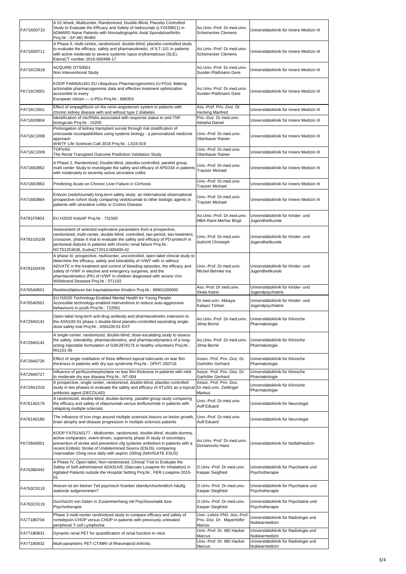| FA716D0710 | A 52-Week, Multicenter, Randomized, Double-Blind, Placebo Controlled<br>Study to Evaluate the Efficacy and Safety of Ixekizumab (LY2439821) in<br>bDMARD Naive Patients with Nonradiographic Axial Spondyloarthritis<br>Proj.Nr.: I1F-MC-RHBX                                                                                                                                                                           | Ao.Univ.-Prof. Dr.med.univ.<br>Scheinecker Clemens                     | Universitätsklinik für Innere Medizin III                                                        |
|------------|-------------------------------------------------------------------------------------------------------------------------------------------------------------------------------------------------------------------------------------------------------------------------------------------------------------------------------------------------------------------------------------------------------------------------|------------------------------------------------------------------------|--------------------------------------------------------------------------------------------------|
| FA716D0711 | A Phase II, multi-centre, randomized. double-blind, placebo-controlled study<br>to evaluate the efficacy, safety and pharmacokinetic, of ILT-101 in patients<br>with active moderate to severe systemic lupus erythematosus (SLE),<br>EduraCT number 2016-000488-17                                                                                                                                                     | Ao.Univ.-Prof. Dr.med.univ.<br>Scheinecker Clemens                     | Universitätsklinik für Innere Medizin III                                                        |
| FA716C0818 | ACQUIRE OTS0001<br>Non Interventional Study                                                                                                                                                                                                                                                                                                                                                                             | Ao.Univ.-Prof. Dr.med.univ.<br>Sunder-Plaßmann Gere                    | Universitätsklinik für Innere Medizin III                                                        |
| FK716C0001 | KOOP FA660A1401 EU Ubiquitous Pharmacogenomics (U-PGx): Making<br>actionable pharmacogenomic data and effective treatment optimization<br>accessible to every<br>European citizen - U-PGx Proj.Nr.: 668353                                                                                                                                                                                                              | Ao.Univ.-Prof. Dr.med.univ.<br>Sunder-Plaßmann Gere                    | Universitätsklinik für Innere Medizin III                                                        |
| FA716C2601 | Effect of empagliflozin on the renin-angiotensin system in patients with<br>chronic kidney disease with and without type 2 diabetes                                                                                                                                                                                                                                                                                     | Ass.-Prof. Priv.-Doz. Dr.<br>Hecking Manfred                           | Universitätsklinik für Innere Medizin III                                                        |
| FA716D0804 | Identification of micRNAs associated with response status to anti-TNF<br>biologicals Proj.Nr.: 15205                                                                                                                                                                                                                                                                                                                    | Priv.-Doz. Dr.med.univ.<br>Aletaha Daniel                              | Universitätsklinik für Innere Medizin III                                                        |
| FA716C1008 | Prolongation of kidney transplant survial through risk stratification of<br>omicswide incompatibilities using systems biology - a personalized medicine<br>approach<br>WWTF Life Sciences Call 2016 Proj.Nr.: LS16-019                                                                                                                                                                                                  | Univ.-Prof. Dr.med.univ.<br><b>Oberbauer Rainer</b>                    | Universitätsklinik für Innere Medizin III                                                        |
| FA716C1009 | <b>TOPVAS</b>                                                                                                                                                                                                                                                                                                                                                                                                           | Univ.-Prof. Dr.med.univ.                                               | Universitätsklinik für Innere Medizin III                                                        |
| FA716E0862 | The Renal Transplant Outcome Prediction Validation Study<br>A Phase 2, Randomized, Double-blind, placebo-controlled, parallel group,<br>multi center Study to investigate the safety and efficacy of APD334 in patients<br>with moderately to severely active ulcerative colitis                                                                                                                                        | Oberbauer Rainer<br>Univ.-Prof. Dr.med.univ.<br><b>Trauner Michael</b> | Universitätsklinik für Innere Medizin III                                                        |
| FA716E0863 | Predicting Acute-on-Chronic Liver Failure in Cirrhosis                                                                                                                                                                                                                                                                                                                                                                  | Univ.-Prof. Dr.med.univ.<br><b>Trauner Michael</b>                     | Universitätsklinik für Innere Medizin III                                                        |
| FA716E0864 | Entyvio (vedolizumab) long-term safety study: an international observational<br>prospective cohort study comparing vedolizumab to other biologic agents in<br>patients with ulcerative colitis or Crohns Disease                                                                                                                                                                                                        | Univ.-Prof. Dr.med.univ.<br><b>Trauner Michael</b>                     | Universitätsklinik für Innere Medizin III                                                        |
| FA781F0903 | EU H2020 KidsAP Proj.Nr.: 731560                                                                                                                                                                                                                                                                                                                                                                                        | Ao.Univ.-Prof. Dr.med.univ.<br>MBA Rami-Merhar Birgit                  | Universitätsklinik für Kinder- und<br>Jugendheilkunde                                            |
| FA781G0109 | Assessment of selected explorative parameters from a prospective,<br>randomized, multi-center, double-blind, controlled, two-period, two-treatment,<br>crossover, phase II trial to evaluate the safety and efficacy of PD-protec® in<br>peritoneal dialysis in patients with chronic renal failure Proj.Nr.:<br>NCT01353638, EudraCT2013-000400-42                                                                     | Univ.-Prof. Dr.med.univ.<br>Aufricht Christoph                         | Universitätsklinik für Kinder- und<br>Jugendheilkunde                                            |
| FA781D0439 | A phase III, prospective, multicenter, uncontrolled, open-label clinical study to<br>determine the efficacy, safety and tolerability of rVWF with or without<br>ADVATE in the treatment and control of bleeding episodes, the efficacy and<br>safety of rVWF in elective and emergency surgeries, and the<br>pharmacokinetics (PK) of rVWF in children diagnosed with severe Von<br>Willebrand Desease Proj.Nr.: 071102 | Univ.-Prof. Dr.med.univ.<br>Michel-Behnke Ina                          | Universitätsklinik für Kinder- und<br>Jugendheilkunde                                            |
| FA765A0601 | Resilienzfaktoren bei traumatisierten Kindern Proj.Nr.: 99901006000                                                                                                                                                                                                                                                                                                                                                     | Ass.-Prof. Dr.med.univ.<br>Skala Katrin                                | Universitätsklinik für Kinder- und<br>Jugendpsychiatrie                                          |
| FA765A0501 | EU H2020 Technology-Enabled Mental Health for Young People:<br>Accessible technology-enabled interventions to reduce auto-aggressive<br>behaviours in youth Proj.Nr.: 722561                                                                                                                                                                                                                                            | Dr.med.univ. Akkaya-<br>Kalayci Türkan                                 | Universitätsklinik für Kinder- und<br>Jugendpsychiatrie                                          |
| FA729A0141 | Open-label long-term anti-drug antibody and pharmacokinetic extension to<br>the ASN100-01 phase 1 double-blind placebo-controlled ascending single-<br>dose safety trial Proj.Nr.: ASN100-01-EXT                                                                                                                                                                                                                        | Ao.Univ.-Prof. Dr.med.univ.<br>Jilma Bernd                             | Universitätsklinik für Klinische<br>Pharmakologie                                                |
| FA729A0142 | A single-center, randomized, double-blind, dose-escalating study to assess<br>the safety, tolerability, pharmacokinetics, and pharmacodynamics of a long-<br>acting injectable formulation of GSK2878175 in healthy volunteers Proj.Nr.:<br>RG101-06                                                                                                                                                                    | Ao.Univ.-Prof. Dr.med.univ.<br>Jilma Bernd                             | Universitätsklinik für Klinische<br>Pharmakologie                                                |
| FA729A0726 | Effect of single instillation of three different topical lubricants on tear film                                                                                                                                                                                                                                                                                                                                        |                                                                        |                                                                                                  |
|            | thickness in patients with dry eye syndrome Proj.Nr.: OPHT-250716                                                                                                                                                                                                                                                                                                                                                       | Assoc. Prof. Priv.-Doz. Dr.<br>Garhöfer Gerhard                        | Universitätsklinik für Klinische<br>Pharmakologie                                                |
| FA729A0727 | Influence of perfluorohexyloctane on tear film thickness in patients with mild<br>to moderate dry eye disease Proj.Nr.: NT-004                                                                                                                                                                                                                                                                                          | Assoc. Prof. Priv.-Doz. Dr.<br>Garhöfer Gerhard                        | Universitätsklinik für Klinische<br>Pharmakologie                                                |
| FA729A1019 | A prospective, single center, randomized, double-blind, placebo controlled<br>study in two phases to evaluate the safety and efficacy of ATx201 as a topical<br>antibiotic agent (DECOLAD)                                                                                                                                                                                                                              | Assoc. Prof. Priv.-Doz.<br>Dr.med.univ. Zeitlinger<br>Markus           | Universitätsklinik für Klinische<br>Pharmakologie                                                |
| FA761A0179 | A randomized, double-blind, double-dummy, parallel-group study comparing<br>the efficacy and safety of ofatumumab versus teriflunomide in patients with<br>relapsing multiple sclerosis                                                                                                                                                                                                                                 | Univ.-Prof. Dr.med.univ.<br>Auff Eduard                                | Universitätsklinik für Neurologie                                                                |
| FA761A0180 | The influence of iron rings around multiple sclerosis lesions on lesion growth,<br>brain atrophy and disease progression in multiple sclerosis patients                                                                                                                                                                                                                                                                 | Univ.-Prof. Dr.med.univ.<br>Auff Eduard                                | Universitätsklinik für Neurologie                                                                |
| FK728A0001 | KOOP FA761A0177 - Multicenter, randomized, double-blind, double-dummy,<br>active-comparator, event-driven, superiority phase III study of secondary<br>prevention of stroke and prevention ofg systemic embolism in patients with a<br>recent Embolic Stroke of Undetermined Source (ESUS), comparing<br>rivaroxaban 15mg once daily with aspirin 100mg (NAVIGATE ESUS)                                                 | Ao.Univ.-Prof. Dr.med.univ.<br>Domanovits Hans                         | Universitätsklinik für Notfallmedizin                                                            |
| FA763B0442 | A Phase IV, Open-label, Non-randomized, Clinical Trial to Evaluate the<br>Safety of Self-administered ADASUVE (Staccato Loxapine for Inhalation) in<br>Agitated Patients outside the Hospital Setting Proj.Nr.: FER-Loxapine-2015-<br>01                                                                                                                                                                                | O.Univ.-Prof. Dr.med.univ.<br>Kasper Siegfried                         | Universitätsklinik für Psychiatrie und<br>Psychotherapie                                         |
| FA763C0118 | Warum ist ein kleiner Teil psychisch Kranker überdurchschnittlich häufig<br>stationär aufgenommen?                                                                                                                                                                                                                                                                                                                      | O.Univ.-Prof. Dr.med.univ.<br>Kasper Siegfried                         | Universitätsklinik für Psychiatrie und<br>Psychotherapie                                         |
| FA763C0119 | Durchsicht von Daten in Zusammenhang mit Psychosomatik bzw.<br>Psychotherapie                                                                                                                                                                                                                                                                                                                                           | O.Univ.-Prof. Dr.med.univ.<br>Kasper Siegfried                         | Universitätsklinik für Psychiatrie und<br>Psychotherapie                                         |
| FA771B0704 | Phase 3 multi-center randomized study to compare efficacy and safety of<br>romidepsin-CHOP versus CHOP in patients with previously untreated<br>peripheral T-cell Lymphoma                                                                                                                                                                                                                                              | Univ.-Lektor PhD. Ass.-Prof.<br>Priv.-Doz. Dr. Mayerhöfer<br>Marius    | Universitätsklinik für Radiologie und<br>Nuklearmedizin                                          |
| FA771B0831 | Dynamic renal PET for quantification of renal function in mice                                                                                                                                                                                                                                                                                                                                                          | Univ.-Prof. Dr. MD Hacker<br>Marcus<br>Univ.-Prof. Dr. MD Hacker       | Universitätsklinik für Radiologie und<br>Nuklearmedizin<br>Universitätsklinik für Radiologie und |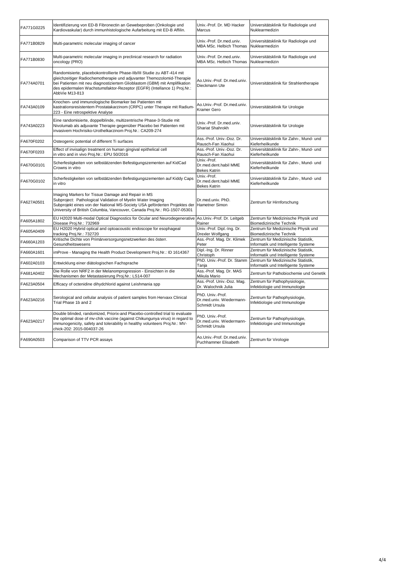| FA771G0225 | Identifizierung von ED-B Fibronectin an Gewebeproben (Onkologie und<br>Kardiovaskular) durch immunhistologische Aufarbeitung mit ED-B Affilin.                                                                                                                                                                                | Univ.-Prof. Dr. MD Hacker<br>Marcus                            | Universitätsklinik für Radiologie und<br>Nuklearmedizin                    |
|------------|-------------------------------------------------------------------------------------------------------------------------------------------------------------------------------------------------------------------------------------------------------------------------------------------------------------------------------|----------------------------------------------------------------|----------------------------------------------------------------------------|
| FA771B0829 | Multi-parametric molecular imaging of cancer                                                                                                                                                                                                                                                                                  | Univ.-Prof. Dr.med.univ.<br>MBA MSc. Helbich Thomas            | Universitätsklinik für Radiologie und<br>Nuklearmedizin                    |
| FA771B0830 | Multi-parametric molecular imaging in preclinical research for radiation<br>oncology (PRO)                                                                                                                                                                                                                                    | Univ.-Prof. Dr.med.univ.<br>MBA MSc. Helbich Thomas            | Universitätsklinik für Radiologie und<br>Nuklearmedizin                    |
| FA774A0701 | Randomisierte, placebokontrollierte Phase-IIb/III Studie zu ABT-414 mit<br>gleichzeitiger Radiochemotherapie und adjuvanter Themozolomid-Therapie<br>bei Patienten mit neu diagnostiziertem Glioblastom (GBM) mit Amplifikation<br>des epidermalen Wachstumsfaktor-Rezeptor (EGFR) (Intellance 1) Proj.Nr.:<br>AbbVie M13-813 | Ao.Univ.-Prof. Dr.med.univ.<br>Dieckmann Ute                   | Universitätsklinik für Strahlentherapie                                    |
| FA743A0109 | Knochen- und immunologische Biomarker bei Patienten mit<br>kastrationsresistentem Prostatakarzinom (CRPC) unter Therapie mit Radium-<br>223 - Eine retrospektive Analyse                                                                                                                                                      | Ao.Univ.-Prof. Dr.med.univ.<br>Kramer Gero                     | Universitätsklinik für Urologie                                            |
| FA743A0223 | Eine randomisierte, doppelblinde, multizentrische Phase-3-Studie mit<br>Nivolumab als adjuvante Therapie gegenüber Placebo bei Patienten mit<br>invasivem Hochrisiko-Urothelkarzinom Proj.Nr.: CA209-274                                                                                                                      | Univ.-Prof. Dr.med.univ.<br>Shariat Shahrokh                   | Universitätsklinik für Urologie                                            |
| FA670F0202 | Osteogenic potential of different Ti surfaces                                                                                                                                                                                                                                                                                 | Ass.-Prof. Univ.-Doz. Dr.<br>Rausch-Fan Xiaohui                | Universitätsklinik für Zahn-, Mund- und<br>Kieferheilkunde                 |
| FA670F0203 | Effect of invisalign treatment on human gingival epithelical cell<br>in vitro and in vivo Proj.Nr.: EPU 50/2016                                                                                                                                                                                                               | Ass.-Prof. Univ.-Doz. Dr.<br>Rausch-Fan Xiaohui                | Universitätsklinik für Zahn-, Mund- und<br>Kieferheilkunde                 |
| FA670G0101 | Scherfestigkeiten von selbstätzenden Befestigungszementen auf KidCad<br>Crowns in vitro                                                                                                                                                                                                                                       | Univ.-Prof.<br>Dr.med.dent.habil MME<br><b>Bekes Katrin</b>    | Universitätsklinik für Zahn-, Mund- und<br>Kieferheilkunde                 |
| FA670G0102 | Scherfestigkeiten von selbstätzenden Befestigungszementen auf Kiddy Caps<br>in vitro                                                                                                                                                                                                                                          | Univ.-Prof.<br>Dr.med.dent.habil MME<br><b>Bekes Katrin</b>    | Universitätsklinik für Zahn-, Mund- und<br>Kieferheilkunde                 |
| FA627A0501 | Imaging Markers for Tissue Damage and Repair in MS<br>Subproject: Pathological Validation of Myelin Water Imaging<br>Subprojekt eines von der National MS-Society USA geförderten Projektes der<br>University of British Columbia, Vancouver, Canada Proj.Nr.: RG-1507-05301                                                  | Dr.med.univ. PhD.<br>Hametner Simon                            | Zentrum für Hirnforschung                                                  |
| FA605A1802 | EU H2020 Multi-modal Optical Diagnostics for Ocular and Neurodegenerative<br>Disease Proj.Nr.: 732969                                                                                                                                                                                                                         | Ao.Univ.-Prof. Dr. Leitgeb<br>Rainer                           | Zentrum für Medizinische Physik und<br>Biomedizinische Technik             |
| FA605A0409 | EU H2020 Hybrid optical and optoacoustic endoscope for esophageal<br>tracking Proj.Nr.: 732720                                                                                                                                                                                                                                | Univ.-Prof. Dipl.-Ing. Dr.<br>Drexler Wolfgang                 | Zentrum für Medizinische Physik und<br>Biomedizinische Technik             |
| FA660A1203 | Kritische Dichte von Primärversorgungsnetzwerken des österr.<br>Gesundheitswesens                                                                                                                                                                                                                                             | Ass.-Prof. Mag. Dr. Klimek<br>Peter                            | Zentrum für Medizinische Statistik,<br>Informatik und Intelligente Systeme |
| FA660A1601 | imProve - Managing the Health Product Development Proj.Nr.: ID 1614367                                                                                                                                                                                                                                                        | Dipl.-Ing. Dr. Rinner<br>Christoph                             | Zentrum für Medizinische Statistik,<br>Informatik und Intelligente Systeme |
| FA602A0103 | Entwicklung einer diätologischen Fachsprache                                                                                                                                                                                                                                                                                  | PhD. Univ.-Prof. Dr. Stamm<br>Tanja                            | Zentrum für Medizinische Statistik,<br>Informatik und Intelligente Systeme |
| FA681A0402 | Die Rolle von NRF2 in der Melanomprogression - Einsichten in die<br>Mechanismen der Metastasierung Proj.Nr.: LS14-007                                                                                                                                                                                                         | Ass.-Prof. Mag. Dr. MAS<br>Mikula Mario                        | Zentrum für Pathobiochemie und Genetik                                     |
| FA623A0504 | Efficacy of octenidine dihydchlorid against Leishmania spp                                                                                                                                                                                                                                                                    | Ass.-Prof. Univ.-Doz. Mag.<br>Dr. Walochnik Julia              | Zentrum für Pathophysiologie,<br>Infektiologie und Immunologie             |
| FA623A0216 | Serological and cellular analysis of patient samples from Hervaxx Clinical<br>Trial Phase 1b and 2                                                                                                                                                                                                                            | PhD. Univ.-Prof.<br>Dr.med.univ. Wiedermann-<br>Schmidt Ursula | Zentrum für Pathophysiologie,<br>Infektiologie und Immunologie             |
| FA623A0217 | Double blinded, randomized. Priorix-and Placebo-controlled trial to evaluate<br>the optimal dose of mv-chik vaccine (against Chikungunya virus) in regard to<br>immunogenicity, safety and tolerability in healthy volunteers Proj.Nr.: MV-<br>chick-202: 2015-004037-26                                                      | PhD. Univ.-Prof.<br>Dr.med.univ. Wiedermann-<br>Schmidt Ursula | Zentrum für Pathophysiologie,<br>Infektiologie und Immunologie             |
| FA690A0503 | Comparison of TTV PCR assays                                                                                                                                                                                                                                                                                                  | Ao.Univ.-Prof. Dr.med.univ.<br>Puchhammer Elisabeth            | Zentrum für Virologie                                                      |